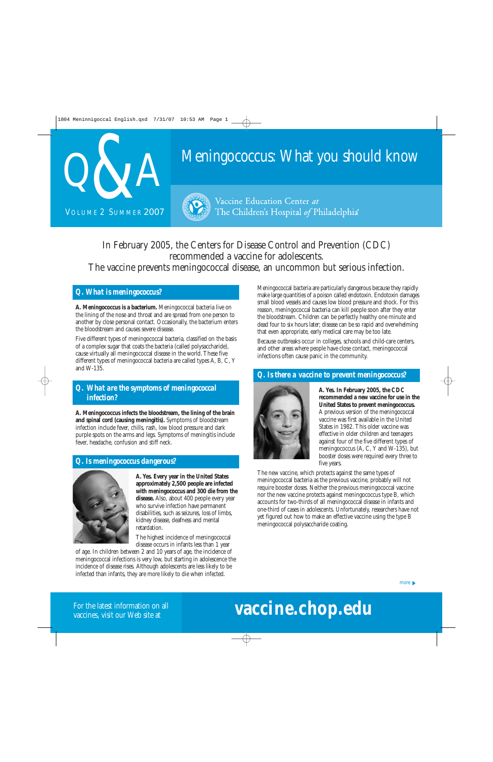

# Meningococcus: What you should know



Vaccine Education Center at The Children's Hospital of Philadelphia<sup>®</sup>

In February 2005, the Centers for Disease Control and Prevention (CDC) recommended a vaccine for adolescents. The vaccine prevents meningococcal disease, an uncommon but serious infection.

#### *Q. What is meningococcus?*

**A. Meningococcus is a bacterium.** Meningococcal bacteria live on the lining of the nose and throat and are spread from one person to another by close personal contact. Occasionally, the bacterium enters the bloodstream and causes severe disease.

Five different types of meningococcal bacteria, classified on the basis of a complex sugar that coats the bacteria (called polysaccharide), cause virtually all meningococcal disease in the world. These five different types of meningococcal bacteria are called types A, B, C, Y and W-135.

### *Q. What are the symptoms of meningococcal infection?*

**A. Meningococcus infects the bloodstream, the lining of the brain and spinal cord (causing meningitis).** Symptoms of bloodstream infection include fever, chills, rash, low blood pressure and dark purple spots on the arms and legs. Symptoms of meningitis include fever, headache, confusion and stiff neck.

#### *Q. Is meningococcus dangerous?*



**A. Yes. Every year in the United States approximately 2,500 people are infected with meningococcus and 300 die from the disease.** Also, about 400 people every year who survive infection have permanent disabilities, such as seizures, loss of limbs, kidney disease, deafness and mental retardation.

The highest incidence of meningococcal disease occurs in infants less than 1 year

of age. In children between 2 and 10 years of age, the incidence of meningococcal infections is very low, but starting in adolescence the incidence of disease rises. Although adolescents are less likely to be infected than infants, they are more likely to die when infected.

Meningococcal bacteria are particularly dangerous because they rapidly make large quantities of a poison called endotoxin. Endotoxin damages small blood vessels and causes low blood pressure and shock. For this reason, meningococcal bacteria can kill people soon after they enter the bloodstream. Children can be perfectly healthy one minute and dead four to six hours later; disease can be so rapid and overwhelming that even appropriate, early medical care may be too late.

Because outbreaks occur in colleges, schools and child-care centers, and other areas where people have close contact, meningococcal infections often cause panic in the community.

#### *Q. Is there a vaccine to prevent meningococcus?*



**A. Yes. In February 2005, the CDC recommended a new vaccine for use in the United States to prevent meningococcus.** A previous version of the meningococcal vaccine was first available in the United States in 1982. This older vaccine was effective in older children and teenagers against four of the five different types of meningococcus (A, C, Y and W-135), but booster doses were required every three to five years.

The new vaccine, which protects against the same types of meningococcal bacteria as the previous vaccine, probably will not require booster doses. Neither the previous meningococcal vaccine nor the new vaccine protects against meningococcus type B, which accounts for two-thirds of all meningococcal disease in infants and one-third of cases in adolescents. Unfortunately, researchers have not yet figured out how to make an effective vaccine using the type B meningococcal polysaccharide coating.

# **vaccine.chop.edu**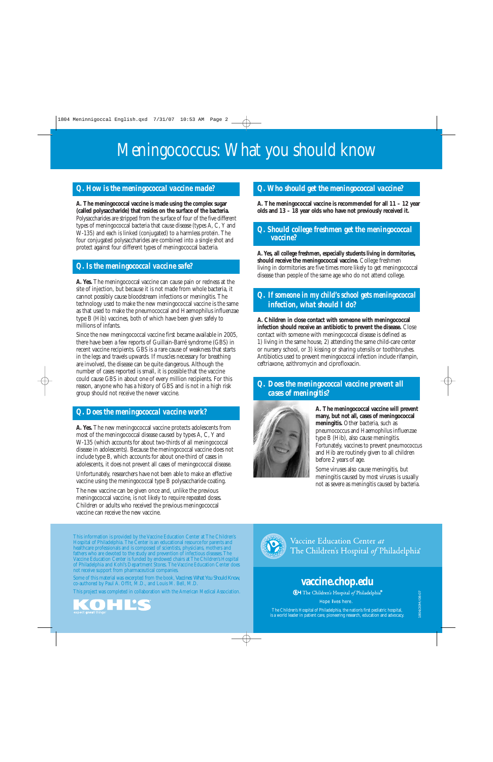# Meningococcus: What you should know

### *Q. How is the meningococcal vaccine made?*

**A. The meningococcal vaccine is made using the complex sugar (called polysaccharide) that resides on the surface of the bacteria.** Polysaccharides are stripped from the surface of four of the five different types of meningococcal bacteria that cause disease (types A, C, Y and W-135) and each is linked (conjugated) to a harmless protein. The four conjugated polysaccharides are combined into a single shot and protect against four different types of meningococcal bacteria.

## *Q. Is the meningococcal vaccine safe?*

**A. Yes.** The meningococcal vaccine can cause pain or redness at the site of injection, but because it is not made from whole bacteria, it cannot possibly cause bloodstream infections or meningitis. The technology used to make the new meningococcal vaccine is the same as that used to make the pneumococcal and Haemophilus influenzae type B (Hib) vaccines, both of which have been given safely to millions of infants.

Since the new meningococcal vaccine first became available in 2005, there have been a few reports of Guillain-Barré syndrome (GBS) in recent vaccine recipients. GBS is a rare cause of weakness that starts in the legs and travels upwards. If muscles necessary for breathing are involved, the disease can be quite dangerous. Although the number of cases reported is small, it is possible that the vaccine could cause GBS in about one of every million recipients. For this reason, anyone who has a history of GBS and is not in a high risk group should not receive the newer vaccine.

# *Q. Does the meningococcal vaccine work?*

**A. Yes.** The new meningococcal vaccine protects adolescents from most of the meningococcal disease caused by types A, C, Y and W-135 (which accounts for about two-thirds of all meningococcal disease in adolescents). Because the meningococcal vaccine does not include type B, which accounts for about one-third of cases in adolescents, it does not prevent all cases of meningococcal disease.

Unfortunately, researchers have not been able to make an effective vaccine using the meningococcal type B polysaccharide coating.

The new vaccine can be given once and, unlike the previous meningococcal vaccine, is not likely to require repeated doses. Children or adults who received the previous meningococcal vaccine can receive the new vaccine.

This information is provided by the Vaccine Education Center at The Children's Hospital of Philadelphia. The Center is an educational resource for parents and healthcare professionals and is composed of scientists, physicians, mothers and fathers who are devoted to the study and prevention of infectious diseases. The Vaccine Education Center is funded by endowed chairs at The Children's Hospital of Philadelphia and Kohl's Department Stores. The Vaccine Education Center does not receive support from pharmaceutical companies.

Some of this material was excerpted from the book, *Vaccines: What You Should Know,* co-authored by Paul A. Offit, M.D., and Louis M. Bell, M.D.

This project was completed in collaboration with the American Medical Association.



### *Q. Who should get the meningococcal vaccine?*

**A. The meningococcal vaccine is recommended for all 11 – 12 year olds and 13 – 18 year olds who have not previously received it.**

#### *Q. Should college freshmen get the meningococcal vaccine?*

**A. Yes, all college freshmen, especially students living in dormitories, should receive the meningococcal vaccine.** College freshmen living in dormitories are five times more likely to get meningococcal disease than people of the same age who do not attend college.

#### *Q. If someone in my child's school gets meningococcal infection, what should I do?*

**A. Children in close contact with someone with meningococcal infection should receive an antibiotic to prevent the disease.** Close contact with someone with meningococcal disease is defined as 1) living in the same house, 2) attending the same child-care center or nursery school, or 3) kissing or sharing utensils or toothbrushes. Antibiotics used to prevent meningococcal infection include rifampin, ceftriaxone, azithromycin and ciprofloxacin.

*Q. Does the meningococcal vaccine prevent all cases of meningitis?*



**A. The meningococcal vaccine will prevent many, but not all, cases of meningococcal meningitis.** Other bacteria, such as pneumococcus and Haemophilus influenzae type B (Hib), also cause meningitis. Fortunately, vaccines to prevent pneumococcus and Hib are routinely given to all children before 2 years of age.

Some viruses also cause meningitis, but meningitis caused by most viruses is usually not as severe as meningitis caused by bacteria.



Vaccine Education Center at The Children's Hospital of Philadelphia<sup>®</sup>

1804/20M/08-07

# **vaccine.chop.edu**

**CH** The Children's Hospital of Philadelphia®

Hope lives here.

The Children's Hospital of Philadelphia, the nation's first pediatric hospital, is a world leader in patient care, pioneering research, education and advocacy.